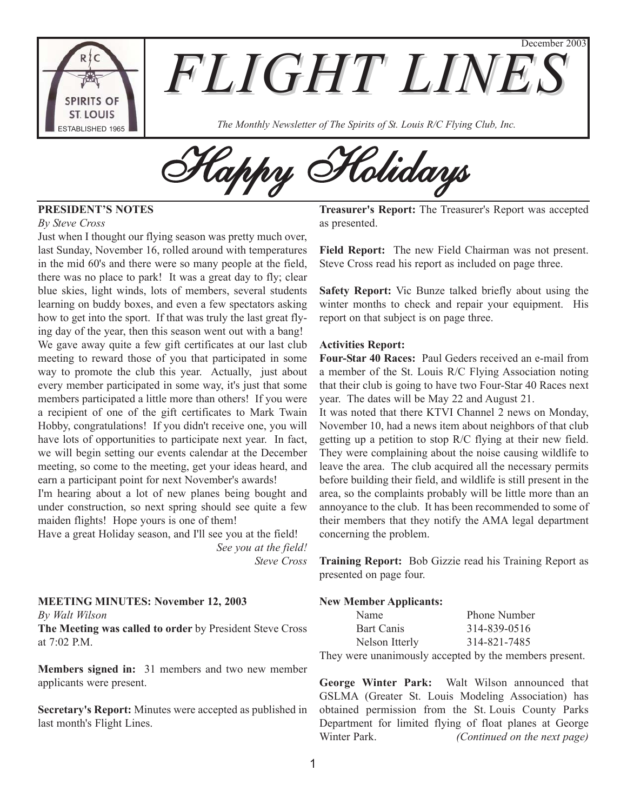

**FLIGHT LINE** 

 $T_A$ <sub>TABLISHED 1965</sub>  $\blacksquare$  The Monthly Newsletter of The Spirits of St. Louis R/C Flying Club, Inc.

Happy Holidays

# **PRESIDENT'S NOTES**

#### *By Steve Cross*

Just when I thought our flying season was pretty much over, last Sunday, November 16, rolled around with temperatures in the mid 60's and there were so many people at the field, there was no place to park! It was a great day to fly; clear blue skies, light winds, lots of members, several students learning on buddy boxes, and even a few spectators asking how to get into the sport. If that was truly the last great flying day of the year, then this season went out with a bang! We gave away quite a few gift certificates at our last club meeting to reward those of you that participated in some way to promote the club this year. Actually, just about every member participated in some way, it's just that some members participated a little more than others! If you were a recipient of one of the gift certificates to Mark Twain Hobby, congratulations! If you didn't receive one, you will have lots of opportunities to participate next year. In fact, we will begin setting our events calendar at the December meeting, so come to the meeting, get your ideas heard, and earn a participant point for next November's awards!

I'm hearing about a lot of new planes being bought and under construction, so next spring should see quite a few maiden flights! Hope yours is one of them!

Have a great Holiday season, and I'll see you at the field! *See you at the field! Steve Cross*

#### **MEETING MINUTES: November 12, 2003**

*By Walt Wilson*

**The Meeting was called to order** by President Steve Cross at 7:02 P.M.

**Members signed in:** 31 members and two new member applicants were present.

**Secretary's Report:** Minutes were accepted as published in last month's Flight Lines.

**Treasurer's Report:** The Treasurer's Report was accepted as presented.

December 2003

**Field Report:** The new Field Chairman was not present. Steve Cross read his report as included on page three.

**Safety Report:** Vic Bunze talked briefly about using the winter months to check and repair your equipment. His report on that subject is on page three.

#### **Activities Report:**

**Four-Star 40 Races:** Paul Geders received an e-mail from a member of the St. Louis R/C Flying Association noting that their club is going to have two Four-Star 40 Races next year. The dates will be May 22 and August 21.

It was noted that there KTVI Channel 2 news on Monday, November 10, had a news item about neighbors of that club getting up a petition to stop R/C flying at their new field. They were complaining about the noise causing wildlife to leave the area. The club acquired all the necessary permits before building their field, and wildlife is still present in the area, so the complaints probably will be little more than an annoyance to the club. It has been recommended to some of their members that they notify the AMA legal department concerning the problem.

**Training Report:** Bob Gizzie read his Training Report as presented on page four.

#### **New Member Applicants:**

| Name                                                               | <b>Phone Number</b> |
|--------------------------------------------------------------------|---------------------|
| Bart Canis                                                         | 314-839-0516        |
| Nelson Itterly                                                     | 314-821-7485        |
| Places are no concentrated and a concentral trackless are control. |                     |

They were unanimously accepted by the members present.

**George Winter Park:** Walt Wilson announced that GSLMA (Greater St. Louis Modeling Association) has obtained permission from the St. Louis County Parks Department for limited flying of float planes at George Winter Park. *(Continued on the next page)*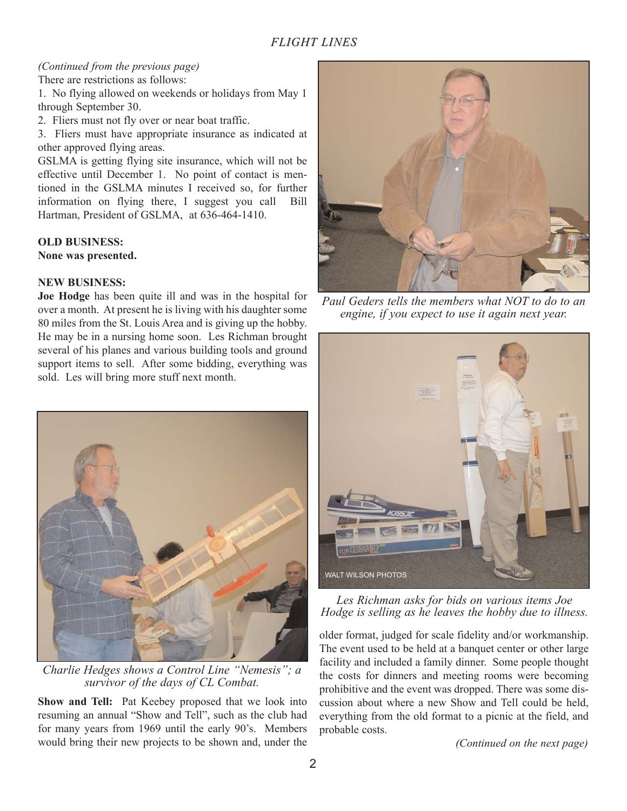# *FLIGHT LINES*

#### *(Continued from the previous page)* There are restrictions as follows:

1. No flying allowed on weekends or holidays from May 1 through September 30.

2. Fliers must not fly over or near boat traffic.

3. Fliers must have appropriate insurance as indicated at other approved flying areas.

GSLMA is getting flying site insurance, which will not be effective until December 1. No point of contact is mentioned in the GSLMA minutes I received so, for further information on flying there, I suggest you call Bill Hartman, President of GSLMA, at 636-464-1410.

# **OLD BUSINESS:**

**None was presented.**

## **NEW BUSINESS:**

**Joe Hodge** has been quite ill and was in the hospital for over a month. At present he is living with his daughter some 80 miles from the St. Louis Area and is giving up the hobby. He may be in a nursing home soon. Les Richman brought several of his planes and various building tools and ground support items to sell. After some bidding, everything was sold. Les will bring more stuff next month.



*Charlie Hedges shows a Control Line "Nemesis"; a survivor of the days of CL Combat.*

**Show and Tell:** Pat Keebey proposed that we look into resuming an annual "Show and Tell", such as the club had for many years from 1969 until the early 90's. Members would bring their new projects to be shown and, under the



*Paul Geders tells the members what NOT to do to an engine, if you expect to use it again next year.*



# *Les Richman asks for bids on various items Joe Hodge is selling as he leaves the hobby due to illness.*

older format, judged for scale fidelity and/or workmanship. The event used to be held at a banquet center or other large facility and included a family dinner. Some people thought the costs for dinners and meeting rooms were becoming prohibitive and the event was dropped. There was some discussion about where a new Show and Tell could be held, everything from the old format to a picnic at the field, and probable costs.

*(Continued on the next page)*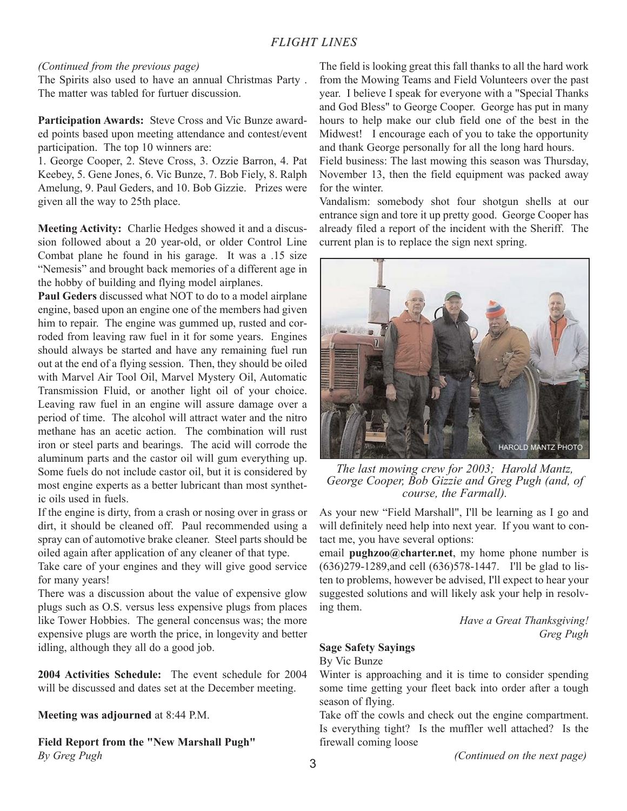# *(Continued from the previous page)*

The Spirits also used to have an annual Christmas Party . The matter was tabled for furtuer discussion.

**Participation Awards:** Steve Cross and Vic Bunze awarded points based upon meeting attendance and contest/event participation. The top 10 winners are:

1. George Cooper, 2. Steve Cross, 3. Ozzie Barron, 4. Pat Keebey, 5. Gene Jones, 6. Vic Bunze, 7. Bob Fiely, 8. Ralph Amelung, 9. Paul Geders, and 10. Bob Gizzie. Prizes were given all the way to 25th place.

**Meeting Activity:** Charlie Hedges showed it and a discussion followed about a 20 year-old, or older Control Line Combat plane he found in his garage. It was a .15 size "Nemesis" and brought back memories of a different age in the hobby of building and flying model airplanes.

**Paul Geders** discussed what NOT to do to a model airplane engine, based upon an engine one of the members had given him to repair. The engine was gummed up, rusted and corroded from leaving raw fuel in it for some years. Engines should always be started and have any remaining fuel run out at the end of a flying session. Then, they should be oiled with Marvel Air Tool Oil, Marvel Mystery Oil, Automatic Transmission Fluid, or another light oil of your choice. Leaving raw fuel in an engine will assure damage over a period of time. The alcohol will attract water and the nitro methane has an acetic action. The combination will rust iron or steel parts and bearings. The acid will corrode the aluminum parts and the castor oil will gum everything up. Some fuels do not include castor oil, but it is considered by most engine experts as a better lubricant than most synthetic oils used in fuels.

If the engine is dirty, from a crash or nosing over in grass or dirt, it should be cleaned off. Paul recommended using a spray can of automotive brake cleaner. Steel parts should be oiled again after application of any cleaner of that type.

Take care of your engines and they will give good service for many years!

There was a discussion about the value of expensive glow plugs such as O.S. versus less expensive plugs from places like Tower Hobbies. The general concensus was; the more expensive plugs are worth the price, in longevity and better idling, although they all do a good job.

**2004 Activities Schedule:** The event schedule for 2004 will be discussed and dates set at the December meeting.

**Meeting was adjourned** at 8:44 P.M.

**Field Report from the "New Marshall Pugh"** *By Greg Pugh*

The field is looking great this fall thanks to all the hard work from the Mowing Teams and Field Volunteers over the past year. I believe I speak for everyone with a "Special Thanks and God Bless" to George Cooper. George has put in many hours to help make our club field one of the best in the Midwest! I encourage each of you to take the opportunity and thank George personally for all the long hard hours.

Field business: The last mowing this season was Thursday, November 13, then the field equipment was packed away for the winter.

Vandalism: somebody shot four shotgun shells at our entrance sign and tore it up pretty good. George Cooper has already filed a report of the incident with the Sheriff. The current plan is to replace the sign next spring.



*The last mowing crew for 2003; Harold Mantz, George Cooper, Bob Gizzie and Greg Pugh (and, of course, the Farmall).*

As your new "Field Marshall", I'll be learning as I go and will definitely need help into next year. If you want to contact me, you have several options:

email **pughzoo@charter.net**, my home phone number is (636)279-1289,and cell (636)578-1447. I'll be glad to listen to problems, however be advised, I'll expect to hear your suggested solutions and will likely ask your help in resolving them.

> *Have a Great Thanksgiving! Greg Pugh*

# **Sage Safety Sayings**

By Vic Bunze

Winter is approaching and it is time to consider spending some time getting your fleet back into order after a tough season of flying.

Take off the cowls and check out the engine compartment. Is everything tight? Is the muffler well attached? Is the firewall coming loose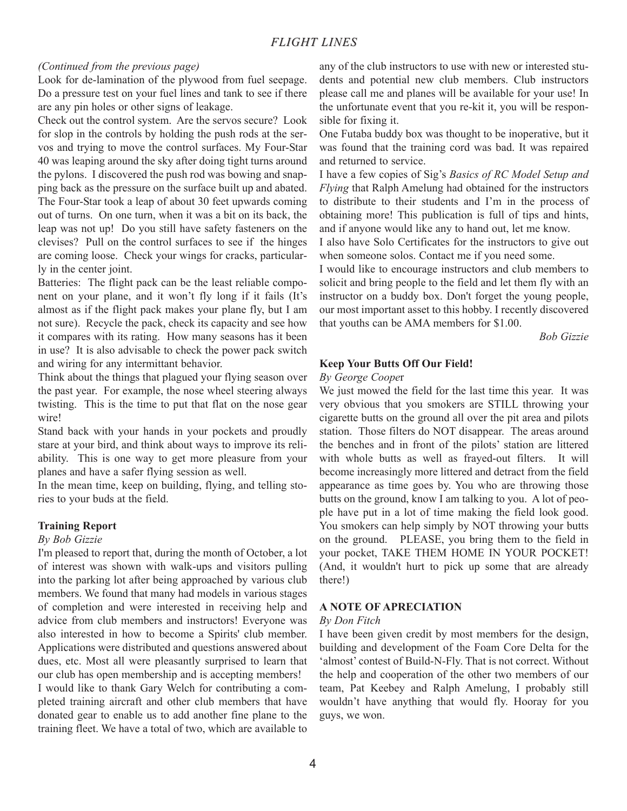#### *(Continued from the previous page)*

Look for de-lamination of the plywood from fuel seepage. Do a pressure test on your fuel lines and tank to see if there are any pin holes or other signs of leakage.

Check out the control system. Are the servos secure? Look for slop in the controls by holding the push rods at the servos and trying to move the control surfaces. My Four-Star 40 was leaping around the sky after doing tight turns around the pylons. I discovered the push rod was bowing and snapping back as the pressure on the surface built up and abated. The Four-Star took a leap of about 30 feet upwards coming out of turns. On one turn, when it was a bit on its back, the leap was not up! Do you still have safety fasteners on the clevises? Pull on the control surfaces to see if the hinges are coming loose. Check your wings for cracks, particularly in the center joint.

Batteries: The flight pack can be the least reliable component on your plane, and it won't fly long if it fails (It's almost as if the flight pack makes your plane fly, but I am not sure). Recycle the pack, check its capacity and see how it compares with its rating. How many seasons has it been in use? It is also advisable to check the power pack switch and wiring for any intermittant behavior.

Think about the things that plagued your flying season over the past year. For example, the nose wheel steering always twisting. This is the time to put that flat on the nose gear wire!

Stand back with your hands in your pockets and proudly stare at your bird, and think about ways to improve its reliability. This is one way to get more pleasure from your planes and have a safer flying session as well.

In the mean time, keep on building, flying, and telling stories to your buds at the field.

## **Training Report**

#### *By Bob Gizzie*

I'm pleased to report that, during the month of October, a lot of interest was shown with walk-ups and visitors pulling into the parking lot after being approached by various club members. We found that many had models in various stages of completion and were interested in receiving help and advice from club members and instructors! Everyone was also interested in how to become a Spirits' club member. Applications were distributed and questions answered about dues, etc. Most all were pleasantly surprised to learn that our club has open membership and is accepting members!

I would like to thank Gary Welch for contributing a completed training aircraft and other club members that have donated gear to enable us to add another fine plane to the training fleet. We have a total of two, which are available to any of the club instructors to use with new or interested students and potential new club members. Club instructors please call me and planes will be available for your use! In the unfortunate event that you re-kit it, you will be responsible for fixing it.

One Futaba buddy box was thought to be inoperative, but it was found that the training cord was bad. It was repaired and returned to service.

I have a few copies of Sig's *Basics of RC Model Setup and Flying* that Ralph Amelung had obtained for the instructors to distribute to their students and I'm in the process of obtaining more! This publication is full of tips and hints, and if anyone would like any to hand out, let me know.

I also have Solo Certificates for the instructors to give out when someone solos. Contact me if you need some.

I would like to encourage instructors and club members to solicit and bring people to the field and let them fly with an instructor on a buddy box. Don't forget the young people, our most important asset to this hobby. I recently discovered that youths can be AMA members for \$1.00.

*Bob Gizzie*

#### **Keep Your Butts Off Our Field!**

#### *By George Coope*r

We just mowed the field for the last time this year. It was very obvious that you smokers are STILL throwing your cigarette butts on the ground all over the pit area and pilots station. Those filters do NOT disappear. The areas around the benches and in front of the pilots' station are littered with whole butts as well as frayed-out filters. It will become increasingly more littered and detract from the field appearance as time goes by. You who are throwing those butts on the ground, know I am talking to you. A lot of people have put in a lot of time making the field look good. You smokers can help simply by NOT throwing your butts on the ground. PLEASE, you bring them to the field in your pocket, TAKE THEM HOME IN YOUR POCKET! (And, it wouldn't hurt to pick up some that are already there!)

#### **A NOTE OF APRECIATION**

#### *By Don Fitch*

I have been given credit by most members for the design, building and development of the Foam Core Delta for the 'almost' contest of Build-N-Fly. That is not correct. Without the help and cooperation of the other two members of our team, Pat Keebey and Ralph Amelung, I probably still wouldn't have anything that would fly. Hooray for you guys, we won.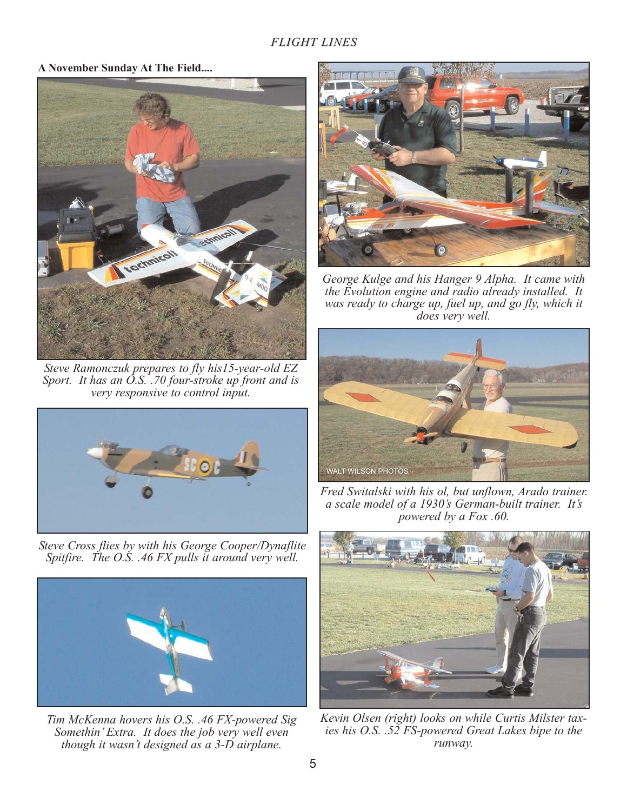**A November Sunday At The Field....**



*Steve Ramonczuk prepares to fly his15-year-old EZ Sport. It has an O.S. .70 four-stroke up front and is very responsive to control input.*



*Steve Cross flies by with his George Cooper/Dynaflite Spitfire. The O.S. .46 FX pulls it around very well.*



*Tim McKenna hovers his O.S. .46 FX-powered Sig Somethin' Extra. It does the job very well even though it wasn't designed as a 3-D airplane.*



*George Kulge and his Hanger 9 Alpha. It came with the Evolution engine and radio already installed. It was ready to charge up, fuel up, and go fly, which it does very well.*



*Fred Switalski with his ol, but unflown, Arado trainer. a scale model of a 1930's German-built trainer. It's powered by a Fox .60.*



*Kevin Olsen (right) looks on while Curtis Milster taxies his O.S. .52 FS-powered Great Lakes bipe to the runway.*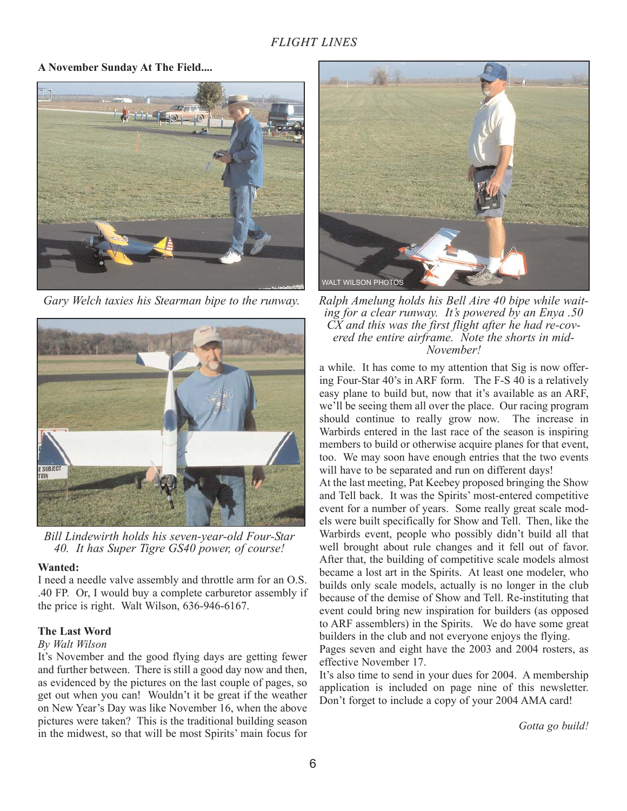**A November Sunday At The Field....**



*Gary Welch taxies his Stearman bipe to the runway.*



*Bill Lindewirth holds his seven-year-old Four-Star 40. It has Super Tigre GS40 power, of course!*

## **Wanted:**

I need a needle valve assembly and throttle arm for an O.S. .40 FP. Or, I would buy a complete carburetor assembly if the price is right. Walt Wilson, 636-946-6167.

# **The Last Word**

# *By Walt Wilson*

It's November and the good flying days are getting fewer and further between. There is still a good day now and then, as evidenced by the pictures on the last couple of pages, so get out when you can! Wouldn't it be great if the weather on New Year's Day was like November 16, when the above pictures were taken? This is the traditional building season in the midwest, so that will be most Spirits' main focus for



*Ralph Amelung holds his Bell Aire 40 bipe while waiting for a clear runway. It's powered by an Enya .50 CX and this was the first flight after he had re-covered the entire airframe. Note the shorts in mid-November!*

a while. It has come to my attention that Sig is now offering Four-Star 40's in ARF form. The F-S 40 is a relatively easy plane to build but, now that it's available as an ARF, we'll be seeing them all over the place. Our racing program should continue to really grow now. The increase in Warbirds entered in the last race of the season is inspiring members to build or otherwise acquire planes for that event, too. We may soon have enough entries that the two events will have to be separated and run on different days!

At the last meeting, Pat Keebey proposed bringing the Show and Tell back. It was the Spirits' most-entered competitive event for a number of years. Some really great scale models were built specifically for Show and Tell. Then, like the Warbirds event, people who possibly didn't build all that well brought about rule changes and it fell out of favor. After that, the building of competitive scale models almost became a lost art in the Spirits. At least one modeler, who builds only scale models, actually is no longer in the club because of the demise of Show and Tell. Re-instituting that event could bring new inspiration for builders (as opposed to ARF assemblers) in the Spirits. We do have some great builders in the club and not everyone enjoys the flying.

Pages seven and eight have the 2003 and 2004 rosters, as effective November 17.

It's also time to send in your dues for 2004. A membership application is included on page nine of this newsletter. Don't forget to include a copy of your 2004 AMA card!

*Gotta go build!*